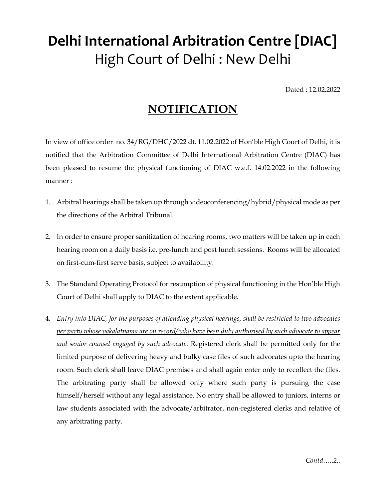## Delhi International Arbitration Centre [DIAC] High Court of Delhi : New Delhi

Dated : 12.02.2022

## **NOTIFICATION**

In view of office order no. 34/RG/DHC/2022 dt. 11.02.2022 of Hon'ble High Court of Delhi, it is notified that the Arbitration Committee of Delhi International Arbitration Centre (DIAC) has been pleased to resume the physical functioning of DIAC w.e.f. 14.02.2022 in the following manner :

- 1. Arbitral hearings shall be taken up through videoconferencing/hybrid/physical mode as per the directions of the Arbitral Tribunal.
- 2. In order to ensure proper sanitization of hearing rooms, two matters will be taken up in each hearing room on a daily basis i.e. pre-lunch and post lunch sessions. Rooms will be allocated on first-cum-first serve basis, subject to availability.
- 3. The Standard Operating Protocol for resumption of physical functioning in the Hon'ble High Court of Delhi shall apply to DIAC to the extent applicable.
- 4. Entry into DIAC, for the purposes of attending physical hearings, shall be restricted to two advocates per party whose vakalatnama are on record/ who have been duly authorised by such advocate to appear and senior counsel engaged by such advocate. Registered clerk shall be permitted only for the limited purpose of delivering heavy and bulky case files of such advocates upto the hearing room. Such clerk shall leave DIAC premises and shall again enter only to recollect the files. The arbitrating party shall be allowed only where such party is pursuing the case himself/herself without any legal assistance. No entry shall be allowed to juniors, interns or law students associated with the advocate/arbitrator, non-registered clerks and relative of any arbitrating party.